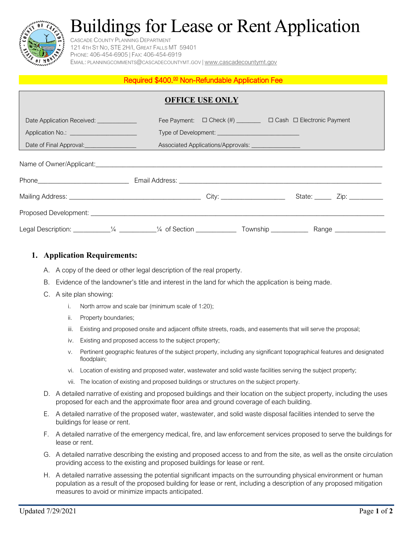# Buildings for Lease or Rent Application



#### CASCADE COUNTY PLANNING DEPARTMENT 121 4TH ST NO, STE 2H/I, GREAT FALLS MT 59401 PHONE: 406-454-6905 | FAX: 406-454-6919 EMAIL: [PLANNINGCOMMENTS@CASCADECOUNTYMT.GOV](mailto:planningcomments@cascadecountymt.gov) | [www.cascadecountymt.gov](http://www.cascadecountymt.gov/)

#### Required \$400.<sup>00</sup> Non-Refundable Application Fee

| <b>OFFICE USE ONLY</b>                                                                                             |  |                                                                               |  |  |                               |  |
|--------------------------------------------------------------------------------------------------------------------|--|-------------------------------------------------------------------------------|--|--|-------------------------------|--|
| Date Application Received: ____________                                                                            |  | Fee Payment: $\Box$ Check (#) _________ $\Box$ Cash $\Box$ Electronic Payment |  |  |                               |  |
| Application No.: ________________________                                                                          |  |                                                                               |  |  |                               |  |
|                                                                                                                    |  | Associated Applications/Approvals: __________________                         |  |  |                               |  |
|                                                                                                                    |  |                                                                               |  |  |                               |  |
|                                                                                                                    |  |                                                                               |  |  | State: ______ Zip: __________ |  |
|                                                                                                                    |  |                                                                               |  |  |                               |  |
| Legal Description: ___________½  __________½  of Section ______________ Township ______________ Range ____________ |  |                                                                               |  |  |                               |  |

### **1. Application Requirements:**

- A. A copy of the deed or other legal description of the real property.
- B. Evidence of the landowner's title and interest in the land for which the application is being made.
- C. A site plan showing:
	- i. North arrow and scale bar (minimum scale of 1:20);
	- ii. Property boundaries;
	- iii. Existing and proposed onsite and adjacent offsite streets, roads, and easements that will serve the proposal;
	- iv. Existing and proposed access to the subject property;
	- v. Pertinent geographic features of the subject property, including any significant topographical features and designated floodplain;
	- vi. Location of existing and proposed water, wastewater and solid waste facilities serving the subject property;
	- vii. The location of existing and proposed buildings or structures on the subject property.
- D. A detailed narrative of existing and proposed buildings and their location on the subject property, including the uses proposed for each and the approximate floor area and ground coverage of each building.
- E. A detailed narrative of the proposed water, wastewater, and solid waste disposal facilities intended to serve the buildings for lease or rent.
- F. A detailed narrative of the emergency medical, fire, and law enforcement services proposed to serve the buildings for lease or rent.
- G. A detailed narrative describing the existing and proposed access to and from the site, as well as the onsite circulation providing access to the existing and proposed buildings for lease or rent.
- H. A detailed narrative assessing the potential significant impacts on the surrounding physical environment or human population as a result of the proposed building for lease or rent, including a description of any proposed mitigation measures to avoid or minimize impacts anticipated.